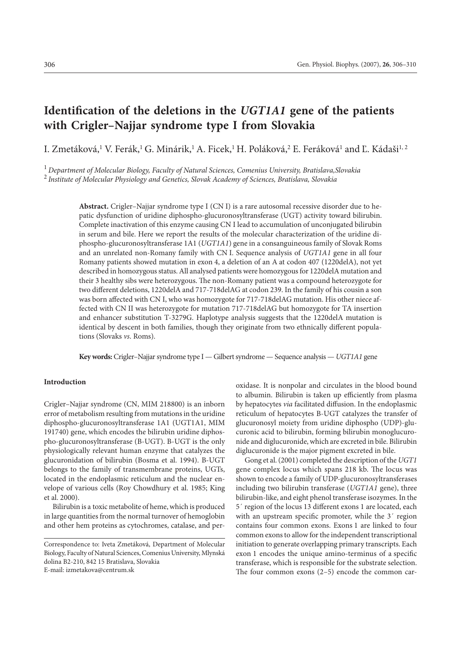# **Identification of the deletions in the** *UGT1A1* **gene of the patients with Crigler–Najjar syndrome type I from Slovakia**

I. Zmetáková,<sup>1</sup> V. Ferák,<sup>1</sup> G. Minárik,<sup>1</sup> A. Ficek,<sup>1</sup> H. Poláková,<sup>2</sup> E. Feráková<sup>1</sup> and Ľ. Kádaši<sup>1, 2</sup>

<sup>1</sup> *Department of Molecular Biology, Faculty of Natural Sciences, Comenius University, Bratislava,Slovakia*

<sup>2</sup> *Institute of Molecular Physiology and Genetics, Slovak Academy of Sciences, Bratislava, Slovakia*

**Abstract.** Crigler–Najjar syndrome type I (CN I) is a rare autosomal recessive disorder due to hepatic dysfunction of uridine diphospho-glucuronosyltransferase (UGT) activity toward bilirubin. Complete inactivation of this enzyme causing CN I lead to accumulation of unconjugated bilirubin in serum and bile. Here we report the results of the molecular characterization of the uridine diphospho-glucuronosyltransferase 1A1 (*UGT1A1*) gene in a consanguineous family of Slovak Roms and an unrelated non-Romany family with CN I. Sequence analysis of *UGT1A1* gene in all four Romany patients showed mutation in exon 4, a deletion of an A at codon 407 (1220delA), not yet described in homozygous status. All analysed patients were homozygous for 1220delA mutation and their 3 healthy sibs were heterozygous. The non-Romany patient was a compound heterozygote for two different deletions, 1220delA and 717-718delAG at codon 239. In the family of his cousin a son was born affected with CN I, who was homozygote for 717-718delAG mutation. His other niece affected with CN II was heterozygote for mutation 717-718delAG but homozygote for TA insertion and enhancer substitution T-3279G. Haplotype analysis suggests that the 1220delA mutation is identical by descent in both families, though they originate from two ethnically different populations (Slovaks *vs*. Roms).

**Key words:** Crigler–Najjar syndrome type I — Gilbert syndrome — Sequence analysis — *UGT1A1* gene

#### **Introduction**

Crigler–Najjar syndrome (CN, MIM 218800) is an inborn error of metabolism resulting from mutations in the uridine diphospho-glucuronosyltransferase 1A1 (UGT1A1, MIM 191740) gene, which encodes the bilirubin uridine diphospho-glucuronosyltransferase (B-UGT). B-UGT is the only physiologically relevant human enzyme that catalyzes the glucuronidation of bilirubin (Bosma et al. 1994). B-UGT belongs to the family of transmembrane proteins, UGTs, located in the endoplasmic reticulum and the nuclear envelope of various cells (Roy Chowdhury et al. 1985; King et al. 2000).

Bilirubin is a toxic metabolite of heme, which is produced in large quantities from the normal turnover of hemoglobin and other hem proteins as cytochromes, catalase, and peroxidase. It is nonpolar and circulates in the blood bound to albumin. Bilirubin is taken up efficiently from plasma by hepatocytes *via* facilitated diffusion. In the endoplasmic reticulum of hepatocytes B-UGT catalyzes the transfer of glucuronosyl moiety from uridine diphospho (UDP)-glucuronic acid to bilirubin, forming bilirubin monoglucuronide and diglucuronide, which are excreted in bile. Bilirubin diglucuronide is the major pigment excreted in bile.

Gong et al. (2001) completed the description of the *UGT1* gene complex locus which spans 218 kb. The locus was shown to encode a family of UDP-glucuronosyltransferases including two bilirubin transferase (*UGT1A1* gene), three bilirubin-like, and eight phenol transferase isozymes. In the 5´ region of the locus 13 different exons 1 are located, each with an upstream specific promoter, while the 3´ region contains four common exons. Exons 1 are linked to four common exons to allow for the independent transcriptional initiation to generate overlapping primary transcripts. Each exon 1 encodes the unique amino-terminus of a specific transferase, which is responsible for the substrate selection. The four common exons (2–5) encode the common car-

Correspondence to: Iveta Zmetáková, Department of Molecular Biology, Faculty of Natural Sciences, Comenius University, Mlynská dolina B2-210, 842 15 Bratislava, Slovakia E-mail: izmetakova@centrum.sk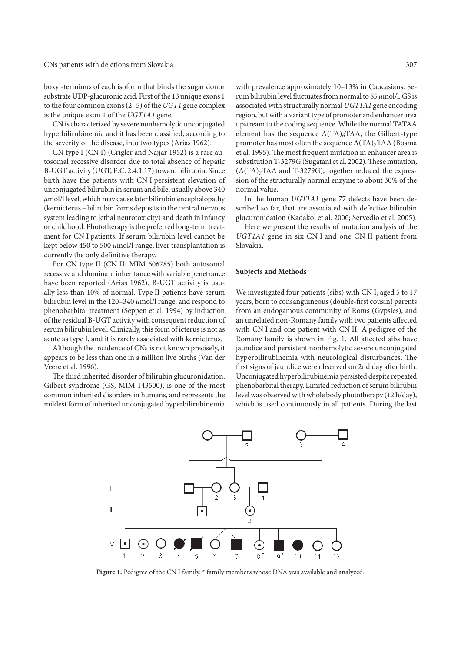boxyl-terminus of each isoform that binds the sugar donor substrate UDP-glucuronic acid. First of the 13 unique exons 1 to the four common exons (2–5) of the *UGT1* gene complex is the unique exon 1 of the *UGT1A1* gene.

CN is characterized by severe nonhemolytic unconjugated hyperbilirubinemia and it has been classified, according to the severity of the disease, into two types (Arias 1962).

CN type I (CN I) (Crigler and Najjar 1952) is a rare autosomal recessive disorder due to total absence of hepatic B-UGT activity (UGT, E.C. 2.4.1.17) toward bilirubin. Since birth have the patients with CN I persistent elevation of unconjugated bilirubin in serum and bile, usually above 340 *μ*mol/l level, which may cause later bilirubin encephalopathy (kernicterus – bilirubin forms deposits in the central nervous system leading to lethal neurotoxicity) and death in infancy or childhood. Phototherapy is the preferred long-term treatment for CN I patients. If serum bilirubin level cannot be kept below 450 to 500 *μ*mol/l range, liver transplantation is currently the only definitive therapy.

For CN type II (CN II, MIM 606785) both autosomal recessive and dominant inheritance with variable penetrance have been reported (Arias 1962). B-UGT activity is usually less than 10% of normal. Type II patients have serum bilirubin level in the 120–340 *μ*mol/l range, and respond to phenobarbital treatment (Seppen et al. 1994) by induction of the residual B-UGT activity with consequent reduction of serum bilirubin level. Clinically, this form of icterus is not as acute as type I, and it is rarely associated with kernicterus.

Although the incidence of CNs is not known precisely, it appears to be less than one in a million live births (Van der Veere et al. 1996).

The third inherited disorder of bilirubin glucuronidation, Gilbert syndrome (GS, MIM 143500), is one of the most common inherited disorders in humans, and represents the mildest form of inherited unconjugated hyperbilirubinemia

with prevalence approximately 10–13% in Caucasians. Serum bilirubin level fluctuates from normal to 85 *μ*mol/l. GS is associated with structurally normal *UGT1A1* gene encoding region, but with a variant type of promoter and enhancer area upstream to the coding sequence. While the normal TATAA element has the sequence  $A(TA)_{6}TAA$ , the Gilbert-type promoter has most often the sequence  $A(TA)_{7}TAA$  (Bosma et al. 1995). The most frequent mutation in enhancer area is substitution T-3279G (Sugatani et al. 2002). These mutation,  $(A(TA)<sub>7</sub>TAA$  and T-3279G), together reduced the expression of the structurally normal enzyme to about 30% of the normal value.

In the human *UGT1A1* gene 77 defects have been described so far, that are associated with defective bilirubin glucuronidation (Kadakol et al. 2000; Servedio et al. 2005).

Here we present the results of mutation analysis of the *UGT1A1* gene in six CN I and one CN II patient from Slovakia.

#### **Subjects and Methods**

We investigated four patients (sibs) with CN I, aged 5 to 17 years, born to consanguineous (double-first cousin) parents from an endogamous community of Roms (Gypsies), and an unrelated non-Romany family with two patients affected with CN I and one patient with CN II. A pedigree of the Romany family is shown in Fig. 1. All affected sibs have jaundice and persistent nonhemolytic severe unconjugated hyperbilirubinemia with neurological disturbances. The first signs of jaundice were observed on 2nd day after birth. Unconjugated hyperbilirubinemia persisted despite repeated phenobarbital therapy. Limited reduction of serum bilirubin level was observed with whole body phototherapy (12 h/day), which is used continuously in all patients. During the last



Figure 1. Pedigree of the CN I family.  $*$  family members whose DNA was available and analyzed.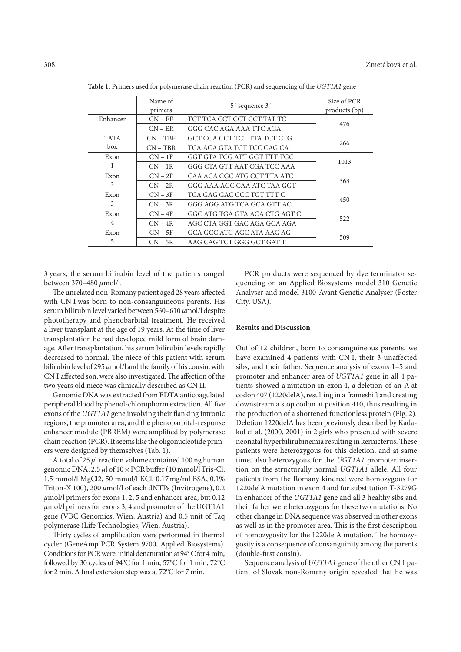|                | Name of<br>primers | 5' sequence 3'                | Size of PCR<br>products (bp) |
|----------------|--------------------|-------------------------------|------------------------------|
| Enhancer       | $CN - EF$          | TCT TCA CCT CCT CCT TAT TC    | 476                          |
|                | $CN - ER$          | GGG CAC AGA AAA TTC AGA       |                              |
| <b>TATA</b>    | $CN - TBF$         | GCT CCA CCT TCT TTA TCT CTG   | 266                          |
| box            | $CN - TBR$         | TCA ACA GTA TCT TCC CAG CA    |                              |
| Exon           | $CN - 1F$          | GGT GTA TCG ATT GGT TTT TGC   | 1013                         |
| 1              | $CN - 1R$          | GGG CTA GTT AAT CGA TCC AAA   |                              |
| Exon<br>2      | $CN - 2F$          | CAA ACA CGC ATG CCT TTA ATC   | 363                          |
|                | $CN - 2R$          | GGG AAA AGC CAA ATC TAA GGT   |                              |
| Exon           | $CN - 3F$          | TCA GAG GAC CCC TGT TTT C     |                              |
| 3              | $CN - 3R$          | GGG AGG ATG TCA GCA GTT AC    | 450                          |
| Exon           | $CN - 4F$          | GGC ATG TGA GTA ACA CTG AGT C | 522                          |
| $\overline{4}$ | $CN - 4R$          | AGC CTA GGT GAC AGA GCA AGA   |                              |
| Exon           | $CN - 5F$          | GCA GCC ATG AGC ATA AAG AG    | 509                          |
| 5              | $CN - 5R$          | AAG CAG TCT GGG GCT GAT T     |                              |

**Table 1.** Primers used for polymerase chain reaction (PCR) and sequencing of the *UGT1A1* gene

3 years, the serum bilirubin level of the patients ranged between 370–480 *μ*mol/l.

The unrelated non-Romany patient aged 28 years affected with CN I was born to non-consanguineous parents. His serum bilirubin level varied between 560–610 *μ*mol/l despite phototherapy and phenobarbital treatment. He received a liver transplant at the age of 19 years. At the time of liver transplantation he had developed mild form of brain damage. After transplantation, his serum bilirubin levels rapidly decreased to normal. The niece of this patient with serum bilirubin level of 295 *μ*mol/l and the family of his cousin, with CN I affected son, were also investigated. The affection of the two years old niece was clinically described as CN II.

Genomic DNA was extracted from EDTA anticoagulated peripheral blood by phenol-chlorophorm extraction. All five exons of the *UGT1A1* gene involving their flanking intronic regions, the promoter area, and the phenobarbital-response enhancer module (PBREM) were amplified by polymerase chain reaction (PCR). It seems like the oligonucleotide primers were designed by themselves (Tab. 1).

A total of 25 *μ*l reaction volume contained 100 ng human genomic DNA, 2.5 *μ*l of 10 × PCR buffer (10 mmol/l Tris-Cl, 1.5 mmol/l MgCl2, 50 mmol/l KCl, 0.17 mg/ml BSA, 0.1% Triton-X 100), 200 *μ*mol/l of each dNTPs (Invitrogene), 0.2 *μ*mol/l primers for exons 1, 2, 5 and enhancer area, but 0.12 *μ*mol/l primers for exons 3, 4 and promoter of the UGT1A1 gene (VBC Genomics, Wien, Austria) and 0.5 unit of Taq polymerase (Life Technologies, Wien, Austria).

Thirty cycles of amplification were performed in thermal cycler (GeneAmp PCR System 9700, Applied Biosystems). Conditions for PCR were: initial denaturation at 94° C for 4 min, followed by 30 cycles of 94°C for 1 min, 57°C for 1 min, 72°C for 2 min. A final extension step was at 72°C for 7 min.

PCR products were sequenced by dye terminator sequencing on an Applied Biosystems model 310 Genetic Analyser and model 3100-Avant Genetic Analyser (Foster City, USA).

## **Results and Discussion**

Out of 12 children, born to consanguineous parents, we have examined 4 patients with CN I, their 3 unaffected sibs, and their father. Sequence analysis of exons 1–5 and promoter and enhancer area of *UGT1A1* gene in all 4 patients showed a mutation in exon 4, a deletion of an A at codon 407 (1220delA), resulting in a frameshift and creating downstream a stop codon at position 410, thus resulting in the production of a shortened functionless protein (Fig. 2). Deletion 1220delA has been previously described by Kadakol et al. (2000, 2001) in 2 girls who presented with severe neonatal hyperbilirubinemia resulting in kernicterus. These patients were heterozygous for this deletion, and at same time, also heterozygous for the *UGT1A1* promoter insertion on the structurally normal *UGT1A1* allele. All four patients from the Romany kindred were homozygous for 1220delA mutation in exon 4 and for substitution T-3279G in enhancer of the *UGT1A1* gene and all 3 healthy sibs and their father were heterozygous for these two mutations. No other change in DNA sequence was observed in other exons as well as in the promoter area. This is the first description of homozygosity for the 1220delA mutation. The homozygosity is a consequence of consanguinity among the parents (double-first cousin).

Sequence analysis of *UGT1A1* gene of the other CN I patient of Slovak non-Romany origin revealed that he was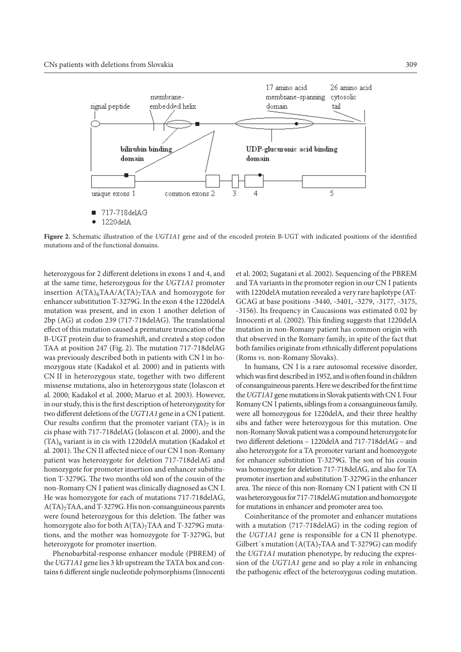

**Figure 2.** Schematic illustration of the *UGT1A1* gene and of the encoded protein B-UGT with indicated positions of the identified mutations and of the functional domains.

heterozygous for 2 different deletions in exons 1 and 4, and at the same time, heterozygous for the *UGT1A1* promoter insertion  $A(TA)_{6}TAA/ A(TA)_{7}TAA$  and homozygote for enhancer substitution T-3279G. In the exon 4 the 1220delA mutation was present, and in exon 1 another deletion of 2bp (AG) at codon 239 (717-718delAG). The translational effect of this mutation caused a premature truncation of the B-UGT protein due to frameshift, and created a stop codon TAA at position 247 (Fig. 2). The mutation 717-718delAG was previously described both in patients with CN I in homozygous state (Kadakol et al. 2000) and in patients with CN II in heterozygous state, together with two different missense mutations, also in heterozygous state (Iolascon et al. 2000; Kadakol et al. 2000; Maruo et al. 2003). However, in our study, this is the first description of heterozygozity for two different deletions of the *UGT1A1* gene in a CN I patient. Our results confirm that the promoter variant  $(TA)_7$  is in cis phase with 717-718delAG (Iolascon et al. 2000), and the  $(TA)_6$  variant is in cis with 1220delA mutation (Kadakol et al. 2001). The CN II affected niece of our CN I non-Romany patient was heterozygote for deletion 717-718delAG and homozygote for promoter insertion and enhancer substitution T-3279G. The two months old son of the cousin of the non-Romany CN I patient was clinically diagnosed as CN I. He was homozygote for each of mutations 717-718delAG,  $A(TA)<sub>7</sub>TAA$ , and T-3279G. His non-consanguineous parents were found heterozygous for this deletion. The father was homozygote also for both  $A(TA)_{7}TAA$  and T-3279G mutations, and the mother was homozygote for T-3279G, but heterozygote for promoter insertion.

Phenobarbital-response enhancer module (PBREM) of the *UGT1A1* gene lies 3 kb upstream the TATA box and contains 6 different single nucleotide polymorphisms (Innocenti et al. 2002; Sugatani et al. 2002). Sequencing of the PBREM and TA variants in the promoter region in our CN I patients with 1220delA mutation revealed a very rare haplotype (AT-GCAG at base positions -3440, -3401, -3279, -3177, -3175, -3156). Its frequency in Caucasions was estimated 0.02 by Innocenti et al. (2002). This finding suggests that 1220delA mutation in non-Romany patient has common origin with that observed in the Romany family, in spite of the fact that both families originate from ethnically different populations (Roms *vs.* non-Romany Slovaks).

In humans, CN I is a rare autosomal recessive disorder, which was first described in 1952, and is often found in children of consanguineous parents. Here we described for the first time the *UGT1A1* gene mutations in Slovak patients with CN I. Four Romany CN I patients, siblings from a consanguineous family, were all homozygous for 1220delA, and their three healthy sibs and father were heterozygous for this mutation. One non-Romany Slovak patient was a compound heterozygote for two different deletions – 1220delA and 717-718delAG – and also heterozygote for a TA promoter variant and homozygote for enhancer substitution T-3279G. The son of his cousin was homozygote for deletion 717-718delAG, and also for TA promoter insertion and substitution T-3279G in the enhancer area. The niece of this non-Romany CN I patient with CN II was heterozygous for 717-718delAG mutation and homozygote for mutations in enhancer and promoter area too.

Coinheritance of the promoter and enhancer mutations with a mutation (717-718delAG) in the coding region of the *UGT1A1* gene is responsible for a CN II phenotype. Gilbert's mutation  $(A(TA)<sub>7</sub>TAA$  and T-3279G) can modify the *UGT1A1* mutation phenotype, by reducing the expression of the *UGT1A1* gene and so play a role in enhancing the pathogenic effect of the heterozygous coding mutation.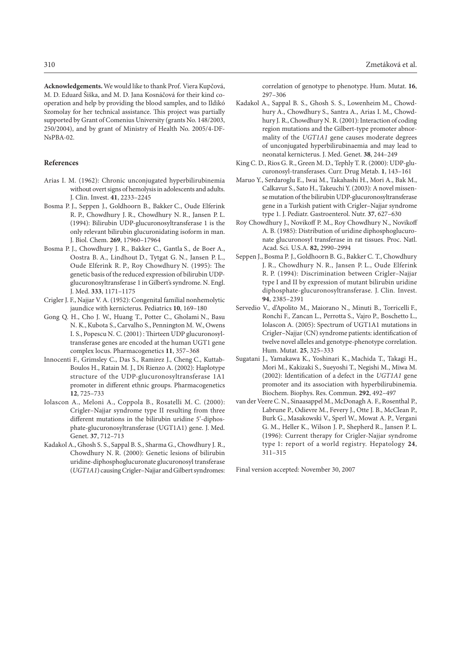**Acknowledgements.** We would like to thank Prof. Viera Kupčová, M. D. Eduard Šiška, and M. D. Jana Kosnáčová for their kind cooperation and help by providing the blood samples, and to Ildikó Szomolay for her technical assistance. This project was partially supported by Grant of Comenius University (grants No. 148/2003, 250/2004), and by grant of Ministry of Health No. 2005/4-DF-NsPBA-02.

## **References**

- Arias I. M. (1962): Chronic unconjugated hyperbilirubinemia without overt signs of hemolysis in adolescents and adults. J. Clin. Invest. **41**, 2233–2245
- Bosma P. J., Seppen J., Goldhoorn B., Bakker C., Oude Elferink R. P., Chowdhury J. R., Chowdhury N. R., Jansen P. L. (1994): Bilirubin UDP-glucuronosyltransferase 1 is the only relevant bilirubin glucuronidating isoform in man. J. Biol. Chem. **269**, 17960–17964
- Bosma P. J., Chowdhury J. R., Bakker C., Gantla S., de Boer A., Oostra B. A., Lindhout D., Tytgat G. N., Jansen P. L., Oude Elferink R. P., Roy Chowdhury N. (1995): The genetic basis of the reduced expression of bilirubin UDPglucuronosyltransferase 1 in Gilbert's syndrome. N. Engl. J. Med. **333**, 1171–1175
- Crigler J. F., Najjar V. A. (1952): Congenital familial nonhemolytic jaundice with kernicterus. Pediatrics **10**, 169–180
- Gong Q. H., Cho J. W., Huang T., Potter C., Gholami N., Basu N. K., Kubota S., Carvalho S., Pennington M. W., Owens I. S., Popescu N. C. (2001) : Thirteen UDP glucuronosyltransferase genes are encoded at the human UGT1 gene complex locus. Pharmacogenetics **11**, 357–368
- Innocenti F., Grimsley C., Das S., Ramirez J., Cheng C., Kuttab-Boulos H., Ratain M. J., Di Rienzo A. (2002): Haplotype structure of the UDP-glucuronosyltransferase 1A1 promoter in different ethnic groups. Pharmacogenetics **12**, 725–733
- Iolascon A., Meloni A., Coppola B., Rosatelli M. C. (2000): Crigler–Najjar syndrome type II resulting from three different mutations in the bilirubin uridine 5'-diphosphate-glucuronosyltransferase (UGT1A1) gene. J. Med. Genet. **37**, 712–713
- Kadakol A., Ghosh S. S., Sappal B. S., Sharma G., Chowdhury J. R., Chowdhury N. R. (2000): Genetic lesions of bilirubin uridine-diphosphoglucuronate glucuronosyl transferase (*UGT1A1*) causing Crigler–Najjar and Gilbert syndromes:

correlation of genotype to phenotype. Hum. Mutat. **16**, 297–306

- Kadakol A., Sappal B. S., Ghosh S. S., Lowenheim M., Chowdhury A., Chowdhury S., Santra A., Arias I. M., Chowdhury J. R., Chowdhury N. R. (2001): Interaction of coding region mutations and the Gilbert-type promoter abnormality of the *UGT1A1* gene causes moderate degrees of unconjugated hyperbilirubinaemia and may lead to neonatal kernicterus. J. Med. Genet. **38**, 244–249
- King C. D., Rios G. R., Green M. D., Tephly T. R. (2000): UDP-glucuronosyl-transferases. Curr. Drug Metab. **1**, 143–161
- Maruo Y., Serdaroglu E., Iwai M., Takahashi H., Mori A., Bak M., Calkavur S., Sato H., Takeuchi Y. (2003): A novel missense mutation of the bilirubin UDP-glucuronosyltransferase gene in a Turkish patient with Crigler–Najjar syndrome type 1. J. Pediatr. Gastroenterol. Nutr. **37**, 627–630
- Roy Chowdhury J., Novikoff P. M., Roy Chowdhury N., Novikoff A. B. (1985): Distribution of uridine diphosphoglucuronate glucuronosyl transferase in rat tissues. Proc. Natl. Acad. Sci. U.S.A. **82,** 2990–2994
- Seppen J., Bosma P. J., Goldhoorn B. G., Bakker C. T., Chowdhury J. R., Chowdhury N. R., Jansen P. L., Oude Elferink R. P. (1994): Discrimination between Crigler–Najjar type I and II by expression of mutant bilirubin uridine diphosphate-glucuronosyltransferase. J. Clin. Invest. **94**, 2385–2391
- Servedio V., d'Apolito M., Maiorano N., Minuti B., Torricelli F., Ronchi F., Zancan L., Perrotta S., Vajro P., Boschetto L., Iolascon A. (2005): Spectrum of UGT1A1 mutations in Crigler–Najjar (CN) syndrome patients: identification of twelve novel alleles and genotype-phenotype correlation. Hum. Mutat. **25**, 325–333
- Sugatani J., Yamakawa K., Yoshinari K., Machida T., Takagi H., Mori M., Kakizaki S., Sueyoshi T., Negishi M., Miwa M. (2002): Identification of a defect in the *UGT1A1* gene promoter and its association with hyperbilirubinemia. Biochem. Biophys. Res. Commun. **292**, 492–497
- van der Veere C. N., Sinaasappel M., McDonagh A. F., Rosenthal P., Labrune P., Odievre M., Fevery J., Otte J. B., McClean P., Burk G., Masakowski V., Sperl W., Mowat A. P., Vergani G. M., Heller K., Wilson J. P., Shepherd R., Jansen P. L. (1996): Current therapy for Crigler-Najjar syndrome type 1: report of a world registry. Hepatology **24**, 311–315

Final version accepted: November 30, 2007